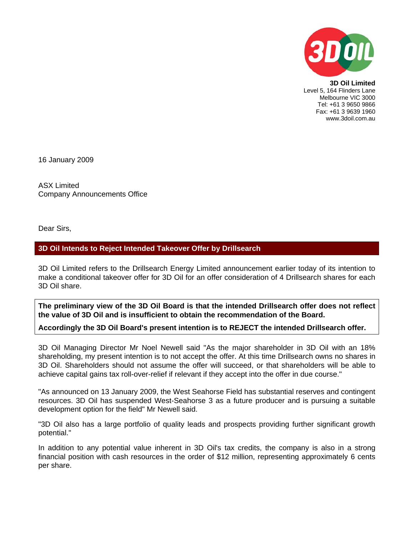

**3D Oil Limited**  Level 5, 164 Flinders Lane Melbourne VIC 3000 Tel: +61 3 9650 9866 Fax: +61 3 9639 1960 www.3doil.com.au

16 January 2009

ASX Limited Company Announcements Office

Dear Sirs,

## **3D Oil Intends to Reject Intended Takeover Offer by Drillsearch**

3D Oil Limited refers to the Drillsearch Energy Limited announcement earlier today of its intention to make a conditional takeover offer for 3D Oil for an offer consideration of 4 Drillsearch shares for each 3D Oil share.

**The preliminary view of the 3D Oil Board is that the intended Drillsearch offer does not reflect the value of 3D Oil and is insufficient to obtain the recommendation of the Board.** 

## **Accordingly the 3D Oil Board's present intention is to REJECT the intended Drillsearch offer.**

3D Oil Managing Director Mr Noel Newell said "As the major shareholder in 3D Oil with an 18% shareholding, my present intention is to not accept the offer. At this time Drillsearch owns no shares in 3D Oil. Shareholders should not assume the offer will succeed, or that shareholders will be able to achieve capital gains tax roll-over-relief if relevant if they accept into the offer in due course."

"As announced on 13 January 2009, the West Seahorse Field has substantial reserves and contingent resources. 3D Oil has suspended West-Seahorse 3 as a future producer and is pursuing a suitable development option for the field" Mr Newell said.

"3D Oil also has a large portfolio of quality leads and prospects providing further significant growth potential."

In addition to any potential value inherent in 3D Oil's tax credits, the company is also in a strong financial position with cash resources in the order of \$12 million, representing approximately 6 cents per share.